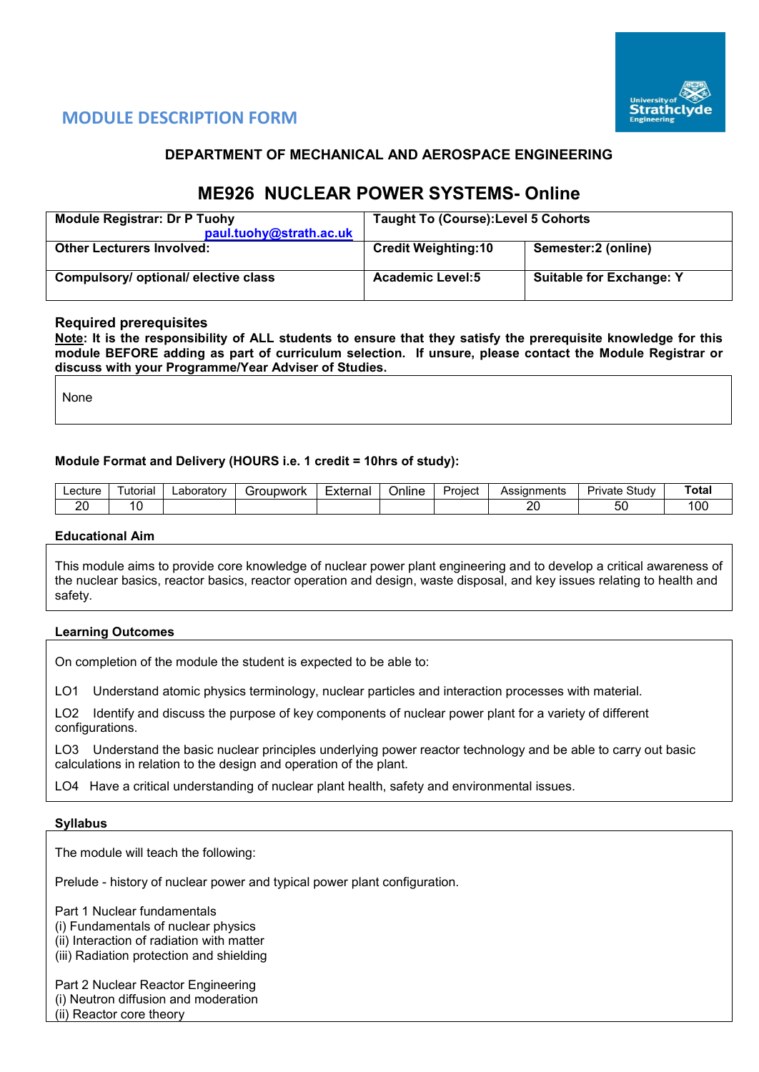

## **MODULE DESCRIPTION FORM**

### **DEPARTMENT OF MECHANICAL AND AEROSPACE ENGINEERING**

# **ME926 NUCLEAR POWER SYSTEMS- Online**

| <b>Module Registrar: Dr P Tuohy</b>  | <b>Taught To (Course): Level 5 Cohorts</b> |                                 |  |  |  |  |
|--------------------------------------|--------------------------------------------|---------------------------------|--|--|--|--|
| paul.tuohy@strath.ac.uk              |                                            |                                 |  |  |  |  |
| <b>Other Lecturers Involved:</b>     | <b>Credit Weighting:10</b>                 | Semester:2 (online)             |  |  |  |  |
| Compulsory/ optional/ elective class | <b>Academic Level:5</b>                    | <b>Suitable for Exchange: Y</b> |  |  |  |  |

#### **Required prerequisites**

**Note: It is the responsibility of ALL students to ensure that they satisfy the prerequisite knowledge for this module BEFORE adding as part of curriculum selection. If unsure, please contact the Module Registrar or discuss with your Programme/Year Adviser of Studies.** 

None

#### **Module Format and Delivery (HOURS i.e. 1 credit = 10hrs of study):**

| _ecture_  | riai<br>utor | ∟aboratorv | <b>JUDWOrk</b><br>™nı. | External | <br><sup>1</sup> nline | Project | Assianments | -<br>Study<br>Private | ⊺ota.<br>. |
|-----------|--------------|------------|------------------------|----------|------------------------|---------|-------------|-----------------------|------------|
| or<br>ZV. |              |            |                        |          |                        |         | n,          | - -<br>~<br>ັບ        | ے م<br>Ίυι |

#### **Educational Aim**

This module aims to provide core knowledge of nuclear power plant engineering and to develop a critical awareness of the nuclear basics, reactor basics, reactor operation and design, waste disposal, and key issues relating to health and safety.

#### **Learning Outcomes**

On completion of the module the student is expected to be able to:

LO1 Understand atomic physics terminology, nuclear particles and interaction processes with material.

LO2 Identify and discuss the purpose of key components of nuclear power plant for a variety of different configurations.

LO3 Understand the basic nuclear principles underlying power reactor technology and be able to carry out basic calculations in relation to the design and operation of the plant.

LO4 Have a critical understanding of nuclear plant health, safety and environmental issues.

#### **Syllabus**

The module will teach the following:

Prelude - history of nuclear power and typical power plant configuration.

Part 1 Nuclear fundamentals (i) Fundamentals of nuclear physics

(ii) Interaction of radiation with matter

(iii) Radiation protection and shielding

Part 2 Nuclear Reactor Engineering (i) Neutron diffusion and moderation (ii) Reactor core theory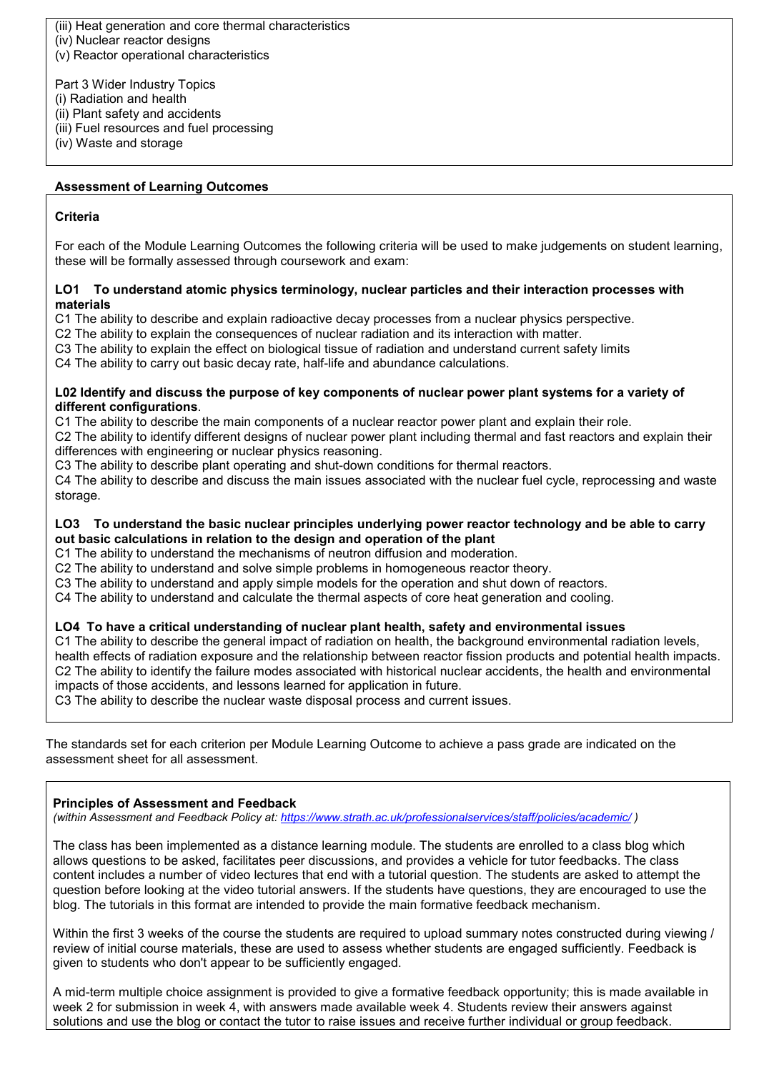(iii) Heat generation and core thermal characteristics (iv) Nuclear reactor designs

(v) Reactor operational characteristics

Part 3 Wider Industry Topics

(i) Radiation and health

(ii) Plant safety and accidents

(iii) Fuel resources and fuel processing

(iv) Waste and storage

### **Assessment of Learning Outcomes**

### **Criteria**

For each of the Module Learning Outcomes the following criteria will be used to make judgements on student learning, these will be formally assessed through coursework and exam:

### **LO1 To understand atomic physics terminology, nuclear particles and their interaction processes with materials**

C1 The ability to describe and explain radioactive decay processes from a nuclear physics perspective.

C2 The ability to explain the consequences of nuclear radiation and its interaction with matter.

C3 The ability to explain the effect on biological tissue of radiation and understand current safety limits

C4 The ability to carry out basic decay rate, half-life and abundance calculations.

#### **L02 Identify and discuss the purpose of key components of nuclear power plant systems for a variety of different configurations**.

C1 The ability to describe the main components of a nuclear reactor power plant and explain their role.

C2 The ability to identify different designs of nuclear power plant including thermal and fast reactors and explain their differences with engineering or nuclear physics reasoning.

C3 The ability to describe plant operating and shut-down conditions for thermal reactors.

C4 The ability to describe and discuss the main issues associated with the nuclear fuel cycle, reprocessing and waste storage.

### **LO3 To understand the basic nuclear principles underlying power reactor technology and be able to carry out basic calculations in relation to the design and operation of the plant**

C1 The ability to understand the mechanisms of neutron diffusion and moderation.

C2 The ability to understand and solve simple problems in homogeneous reactor theory.

C3 The ability to understand and apply simple models for the operation and shut down of reactors.

C4 The ability to understand and calculate the thermal aspects of core heat generation and cooling.

### **LO4 To have a critical understanding of nuclear plant health, safety and environmental issues**

C1 The ability to describe the general impact of radiation on health, the background environmental radiation levels, health effects of radiation exposure and the relationship between reactor fission products and potential health impacts. C2 The ability to identify the failure modes associated with historical nuclear accidents, the health and environmental impacts of those accidents, and lessons learned for application in future.

C3 The ability to describe the nuclear waste disposal process and current issues.

The standards set for each criterion per Module Learning Outcome to achieve a pass grade are indicated on the assessment sheet for all assessment.

### **Principles of Assessment and Feedback**

*(within Assessment and Feedback Policy at:<https://www.strath.ac.uk/professionalservices/staff/policies/academic/> )*

The class has been implemented as a distance learning module. The students are enrolled to a class blog which allows questions to be asked, facilitates peer discussions, and provides a vehicle for tutor feedbacks. The class content includes a number of video lectures that end with a tutorial question. The students are asked to attempt the question before looking at the video tutorial answers. If the students have questions, they are encouraged to use the blog. The tutorials in this format are intended to provide the main formative feedback mechanism.

Within the first 3 weeks of the course the students are required to upload summary notes constructed during viewing / review of initial course materials, these are used to assess whether students are engaged sufficiently. Feedback is given to students who don't appear to be sufficiently engaged.

A mid-term multiple choice assignment is provided to give a formative feedback opportunity; this is made available in week 2 for submission in week 4, with answers made available week 4. Students review their answers against solutions and use the blog or contact the tutor to raise issues and receive further individual or group feedback.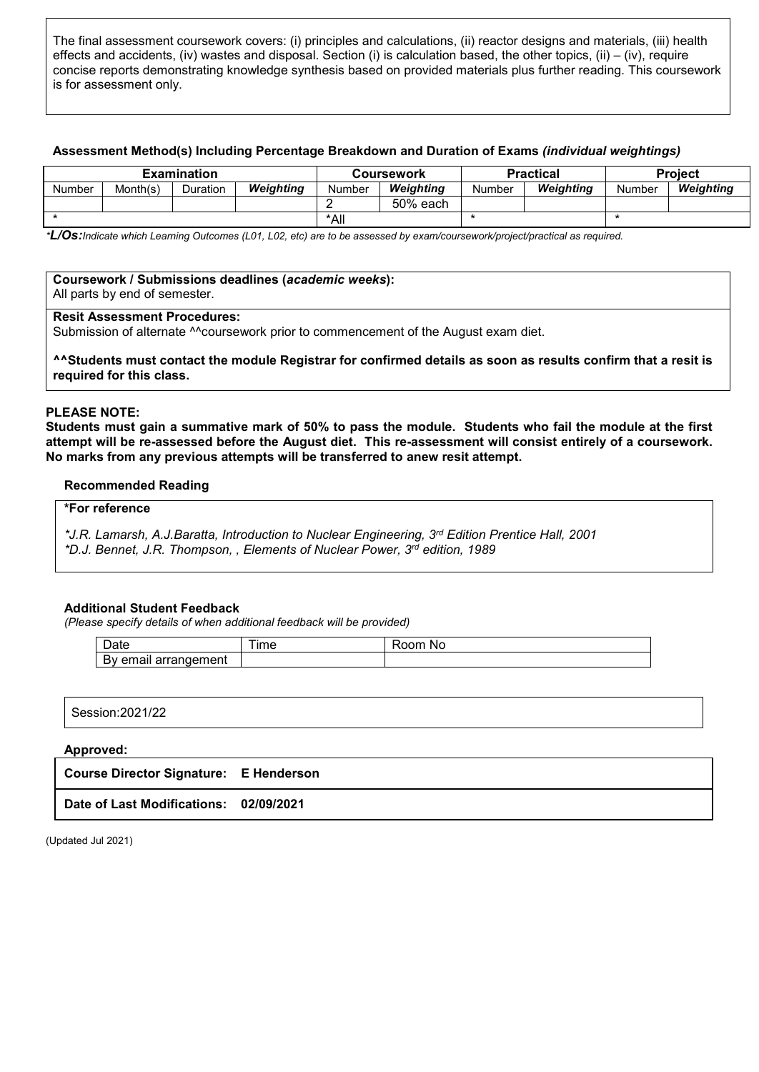The final assessment coursework covers: (i) principles and calculations, (ii) reactor designs and materials, (iii) health effects and accidents, (iv) wastes and disposal. Section (i) is calculation based, the other topics, (ii) – (iv), require concise reports demonstrating knowledge synthesis based on provided materials plus further reading. This coursework is for assessment only.

### **Assessment Method(s) Including Percentage Breakdown and Duration of Exams** *(individual weightings)*

|               |          | <b>Examination</b> |           |        | <b>Coursework</b> |        | <b>Practical</b> | <b>Project</b> |           |  |
|---------------|----------|--------------------|-----------|--------|-------------------|--------|------------------|----------------|-----------|--|
| <b>Number</b> | Month(s) | Duration           | Weiahtina | Number | Weiahtina         | Number | Weiahtina        | Number         | Weighting |  |
|               |          |                    |           |        | 50% each          |        |                  |                |           |  |
|               |          |                    |           | *All   |                   |        |                  |                |           |  |

*\*L/Os:Indicate which Learning Outcomes (L01, L02, etc) are to be assessed by exam/coursework/project/practical as required.*

### **Coursework / Submissions deadlines (***academic weeks***):**

All parts by end of semester.

### **Resit Assessment Procedures:**

Submission of alternate ^^coursework prior to commencement of the August exam diet.

**^^Students must contact the module Registrar for confirmed details as soon as results confirm that a resit is required for this class.**

#### **PLEASE NOTE:**

**Students must gain a summative mark of 50% to pass the module. Students who fail the module at the first attempt will be re-assessed before the August diet. This re-assessment will consist entirely of a coursework. No marks from any previous attempts will be transferred to anew resit attempt.**

#### **Recommended Reading**

#### **\*For reference**

*\*J.R. Lamarsh, A.J.Baratta, Introduction to Nuclear Engineering, 3rd Edition Prentice Hall, 2001 \*D.J. Bennet, J.R. Thompson, , Elements of Nuclear Power, 3rd edition, 1989*

#### **Additional Student Feedback**

*(Please specify details of when additional feedback will be provided)*

| ιαιτ                                                    | Im <sub>e</sub> | $\sim$<br>Νc<br>ш |
|---------------------------------------------------------|-----------------|-------------------|
| $ -$<br>---<br>nen<br>пенг<br>ranc<br>וי כ<br>a<br>ешаг |                 |                   |

Session:2021/22

#### **Approved:**

**Course Director Signature: E Henderson**

**Date of Last Modifications: 02/09/2021**

(Updated Jul 2021)